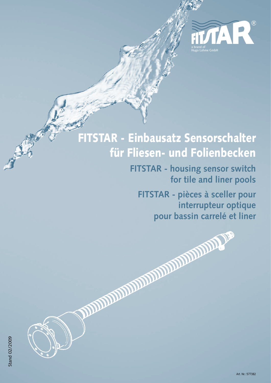

# FITSTAR - Einbausatz Sensorschalter für Fliesen- und Folienbecken

**FITSTAR - housing sensor switch for tile and liner pools**

**FITSTAR - pièces à sceller pour interrupteur optique** pour bassin carrelé et liner<br>**pour la pour le pour le pour le pour le pour le pour le pour le pour le pouve le pouve le pouve le pouve le pouve<br>pouvert le pouvert le pouvert le pouvert le pouvert le pouvert le pouvert le p** 

**Stand 02/2009** Stand 02/2009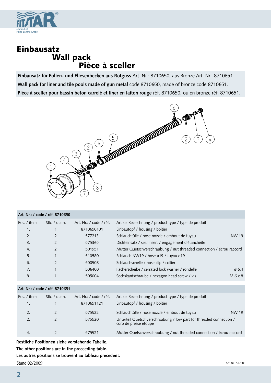

## Einbausatz **Pièce à sceller**

**Einbausatz für Folien- und Fliesenbecken aus Rotguss** Art. Nr.: 8710650, aus Bronze Art. Nr.: 8710651. **Wall pack for liner and tile pools made of gun metal** code 8710650, made of bronze code 8710651. **Pièce à sceller pour bassin beton carrelé et liner en laiton rouge** réf. 8710650, ou en bronze réf. 8710651.



| Art. Nr.: / code / réf. 8710650 |                |                         |                                                                       |       |  |  |  |
|---------------------------------|----------------|-------------------------|-----------------------------------------------------------------------|-------|--|--|--|
| Pos. / item                     | Stk. / quan.   | Art. Nr.: / code / réf. | Artikel Bezeichnung / product type / type de produit                  |       |  |  |  |
| $\mathbf{1}$ .                  |                | 8710650101              | Einbautopf / housing / boîtier                                        |       |  |  |  |
| 2.                              |                | 577213                  | Schlauchtülle / hose nozzle / embout de tuyau                         | NW 19 |  |  |  |
| 3.                              | $\mathfrak{D}$ | 575365                  | Dichteinsatz / seal insert / engagement d'étanchéité                  |       |  |  |  |
| 4.                              |                | 501951                  | Mutter Quetschverschraubung / nut threaded connection / écrou raccord |       |  |  |  |
| 5.                              |                | 510580                  | Schlauch NW19 / hose ø19 / tuyau ø19                                  |       |  |  |  |
| 6.                              | $\mathfrak{D}$ | 500508                  | Schlauchschelle / hose clip / collier                                 |       |  |  |  |
| 7.                              | 1              | 506400                  | Fächerscheibe / serrated lock washer / rondelle                       | ø 6,4 |  |  |  |
| 8.                              |                | 505004                  | Sechskantschraube / hexagon head screw / vis                          | M6x8  |  |  |  |
|                                 |                |                         |                                                                       |       |  |  |  |

#### **Art. Nr.: / code / réf. 8710651**

| Pos. / item | Stk. / guan. | Art. Nr.: / code / réf. | Artikel Bezeichnung / product type / type de produit                                         |       |
|-------------|--------------|-------------------------|----------------------------------------------------------------------------------------------|-------|
|             |              | 8710651121              | Einbautopf / housing / boîtier                                                               |       |
|             |              | 575522                  | Schlauchtülle / hose nozzle / embout de tuyau                                                | NW 19 |
|             |              | 575520                  | Unterteil Quetschverschraubung / low part for threaded connection /<br>corp de presse étoupe |       |
|             |              | 575521                  | Mutter Quetschverschraubung / nut threaded connection / écrou raccord                        |       |

**Restliche Positionen siehe vorstehende Tabelle.**

**The other positions are in the preceeding table.**

**Les autres positions se trouvent au tableau précédent.**

Stand 02/2009 Art. Nr.: 577383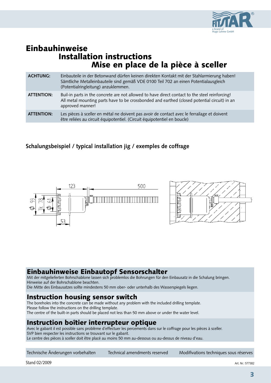

## Einbauhinweise Installation instructions Mise en place de la pièce à sceller

| <b>ACHTUNG:</b>   | Einbauteile in der Betonwand dürfen keinen direkten Kontakt mit der Stahlarmierung haben!<br>Sämtliche Metalleinbauteile sind gemäß VDE 0100 Teil 702 an einen Potentialausgleich<br>(Potentialringleitung) anzuklemmen. |  |
|-------------------|--------------------------------------------------------------------------------------------------------------------------------------------------------------------------------------------------------------------------|--|
| <b>ATTENTION:</b> | Buil-in parts in the concrete are not allowed to have direct contact to the steel reinforcing!<br>All metal mounting parts have to be crossbonded and earthed (closed potential circuit) in an<br>approved manner!       |  |
| <b>ATTENTION:</b> | Les pièces à sceller en métal ne doivent pas avoir de contact avec le ferrailage et doivent<br>être reliées au circuit équipotentiel. (Circuit équipotentiel en boucle)                                                  |  |

#### **Schalungsbeispiel / typical installation jig / exemples de coffrage**





### Einbauhinweise Einbautopf Sensorschalter

Mit der mitgelieferten Bohrschablone lassen sich problemlos die Bohrungen für den Einbausatz in die Schalung bringen. Hinweise auf der Bohrschablone beachten.

#### Die Mitte des Einbausatzes sollte mindestens 50 mm ober- oder unterhalb des Wasserspiegels liegen.

#### Instruction housing sensor switch

The boreholes into the concrete can be made without any problem with the included drilling template. Please follow the instructions on the drilling template. The centre of the built-in parts should be placed not less than 50 mm above or under the water level.

### Instruction boîtier interrupteur optique

Avec le gabarit il est possible sans problème d´effectuer les percements dans sur le coffrage pour les pièces à sceller. SVP bien respecter les instructions se trouvant sur le gabarit. Le centre des pièces à sceller doit être placé au moins 50 mm au-dessous ou au-dessus de niveau d'eau.

Technische Änderungen vorbehalten Technical amendments reserved Modifivations techniques sous réserves

Stand 02/2009 Art. Nr.: 577382